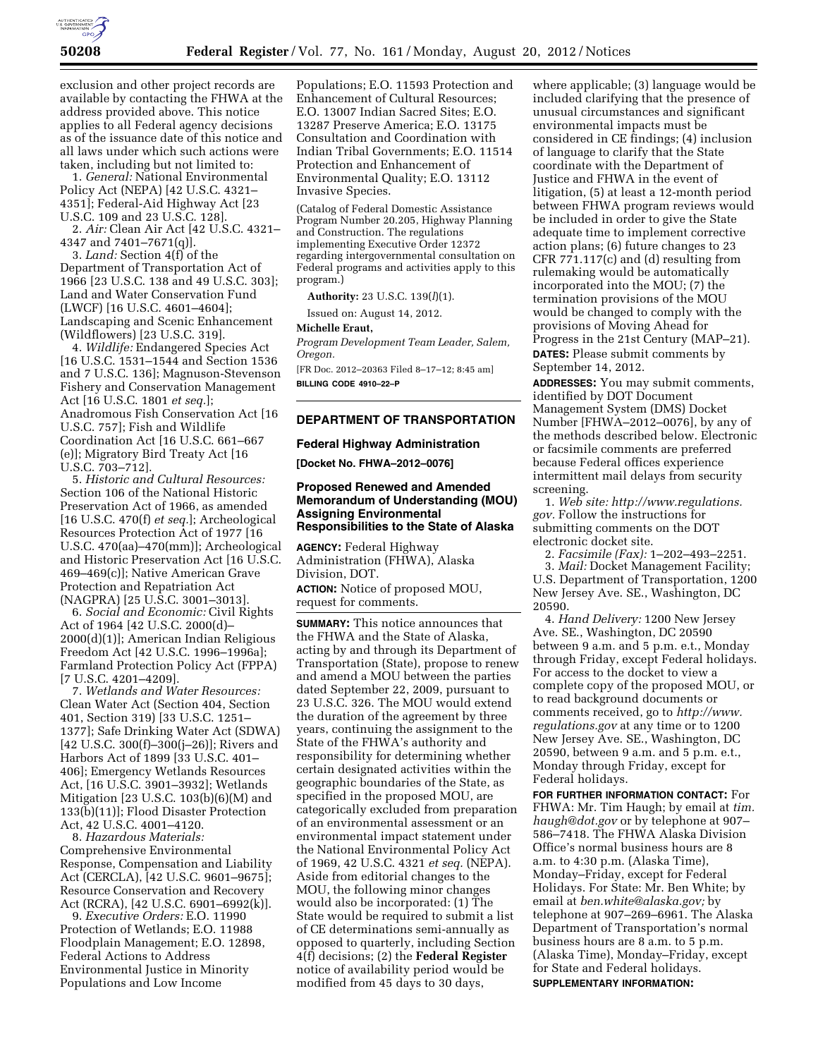

exclusion and other project records are available by contacting the FHWA at the address provided above. This notice applies to all Federal agency decisions as of the issuance date of this notice and all laws under which such actions were taken, including but not limited to:

1. *General:* National Environmental Policy Act (NEPA) [42 U.S.C. 4321– 4351]; Federal-Aid Highway Act [23 U.S.C. 109 and 23 U.S.C. 128].

2. *Air:* Clean Air Act [42 U.S.C. 4321– 4347 and 7401–7671(q)].

3. *Land:* Section 4(f) of the Department of Transportation Act of 1966 [23 U.S.C. 138 and 49 U.S.C. 303]; Land and Water Conservation Fund (LWCF) [16 U.S.C. 4601–4604]; Landscaping and Scenic Enhancement (Wildflowers) [23 U.S.C. 319].

4. *Wildlife:* Endangered Species Act [16 U.S.C. 1531–1544 and Section 1536 and 7 U.S.C. 136]; Magnuson-Stevenson Fishery and Conservation Management Act [16 U.S.C. 1801 *et seq.*]; Anadromous Fish Conservation Act [16 U.S.C. 757]; Fish and Wildlife Coordination Act [16 U.S.C. 661–667 (e)]; Migratory Bird Treaty Act [16 U.S.C. 703–712].

5. *Historic and Cultural Resources:*  Section 106 of the National Historic Preservation Act of 1966, as amended [16 U.S.C. 470(f) *et seq.*]; Archeological Resources Protection Act of 1977 [16 U.S.C. 470(aa)–470(mm)]; Archeological and Historic Preservation Act [16 U.S.C. 469–469(c)]; Native American Grave Protection and Repatriation Act (NAGPRA) [25 U.S.C. 3001–3013].

6. *Social and Economic:* Civil Rights Act of 1964 [42 U.S.C. 2000(d)– 2000(d)(1)]; American Indian Religious Freedom Act [42 U.S.C. 1996–1996a]; Farmland Protection Policy Act (FPPA) [7 U.S.C. 4201–4209].

7. *Wetlands and Water Resources:*  Clean Water Act (Section 404, Section 401, Section 319) [33 U.S.C. 1251– 1377]; Safe Drinking Water Act (SDWA) [42 U.S.C. 300(f)–300(j–26)]; Rivers and Harbors Act of 1899 [33 U.S.C. 401– 406]; Emergency Wetlands Resources Act, [16 U.S.C. 3901–3932]; Wetlands Mitigation [23 U.S.C. 103(b)(6)(M) and 133(b)(11)]; Flood Disaster Protection Act, 42 U.S.C. 4001–4120.

8. *Hazardous Materials:*  Comprehensive Environmental Response, Compensation and Liability Act (CERCLA), [42 U.S.C. 9601–9675]; Resource Conservation and Recovery Act (RCRA), [42 U.S.C. 6901–6992(k)].

9. *Executive Orders:* E.O. 11990 Protection of Wetlands; E.O. 11988 Floodplain Management; E.O. 12898, Federal Actions to Address Environmental Justice in Minority Populations and Low Income

Populations; E.O. 11593 Protection and Enhancement of Cultural Resources; E.O. 13007 Indian Sacred Sites; E.O. 13287 Preserve America; E.O. 13175 Consultation and Coordination with Indian Tribal Governments; E.O. 11514 Protection and Enhancement of Environmental Quality; E.O. 13112 Invasive Species.

(Catalog of Federal Domestic Assistance Program Number 20.205, Highway Planning and Construction. The regulations implementing Executive Order 12372 regarding intergovernmental consultation on Federal programs and activities apply to this program.)

**Authority:** 23 U.S.C. 139(*l*)(1).

Issued on: August 14, 2012.

**Michelle Eraut,**  *Program Development Team Leader, Salem,* 

*Oregon.* 

[FR Doc. 2012–20363 Filed 8–17–12; 8:45 am] **BILLING CODE 4910–22–P** 

### **DEPARTMENT OF TRANSPORTATION**

#### **Federal Highway Administration**

**[Docket No. FHWA–2012–0076]** 

### **Proposed Renewed and Amended Memorandum of Understanding (MOU) Assigning Environmental Responsibilities to the State of Alaska**

**AGENCY:** Federal Highway Administration (FHWA), Alaska Division, DOT. **ACTION:** Notice of proposed MOU, request for comments.

**SUMMARY:** This notice announces that the FHWA and the State of Alaska, acting by and through its Department of Transportation (State), propose to renew and amend a MOU between the parties dated September 22, 2009, pursuant to 23 U.S.C. 326. The MOU would extend the duration of the agreement by three years, continuing the assignment to the State of the FHWA's authority and responsibility for determining whether certain designated activities within the geographic boundaries of the State, as specified in the proposed MOU, are categorically excluded from preparation of an environmental assessment or an environmental impact statement under the National Environmental Policy Act of 1969, 42 U.S.C. 4321 *et seq.* (NEPA). Aside from editorial changes to the MOU, the following minor changes would also be incorporated: (1) The State would be required to submit a list of CE determinations semi-annually as opposed to quarterly, including Section 4(f) decisions; (2) the **Federal Register**  notice of availability period would be modified from 45 days to 30 days,

where applicable; (3) language would be included clarifying that the presence of unusual circumstances and significant environmental impacts must be considered in CE findings; (4) inclusion of language to clarify that the State coordinate with the Department of Justice and FHWA in the event of litigation, (5) at least a 12-month period between FHWA program reviews would be included in order to give the State adequate time to implement corrective action plans; (6) future changes to 23 CFR 771.117(c) and (d) resulting from rulemaking would be automatically incorporated into the MOU; (7) the termination provisions of the MOU would be changed to comply with the provisions of Moving Ahead for Progress in the 21st Century (MAP–21). **DATES:** Please submit comments by September 14, 2012.

**ADDRESSES:** You may submit comments, identified by DOT Document Management System (DMS) Docket Number [FHWA–2012–0076], by any of the methods described below. Electronic or facsimile comments are preferred because Federal offices experience intermittent mail delays from security screening.

1. *Web site: [http://www.regulations.](http://www.regulations.gov) [gov.](http://www.regulations.gov)* Follow the instructions for submitting comments on the DOT electronic docket site.

2. *Facsimile (Fax):* 1–202–493–2251.

3. *Mail:* Docket Management Facility; U.S. Department of Transportation, 1200 New Jersey Ave. SE., Washington, DC 20590.

4. *Hand Delivery:* 1200 New Jersey Ave. SE., Washington, DC 20590 between 9 a.m. and 5 p.m. e.t., Monday through Friday, except Federal holidays. For access to the docket to view a complete copy of the proposed MOU, or to read background documents or comments received, go to *[http://www.](http://www.regulations.gov) [regulations.gov](http://www.regulations.gov)* at any time or to 1200 New Jersey Ave. SE., Washington, DC 20590, between 9 a.m. and 5 p.m. e.t., Monday through Friday, except for Federal holidays.

**FOR FURTHER INFORMATION CONTACT:** For FHWA: Mr. Tim Haugh; by email at *tim. haugh@dot.gov* or by telephone at 907– 586–7418. The FHWA Alaska Division Office's normal business hours are 8 a.m. to 4:30 p.m. (Alaska Time), Monday–Friday, except for Federal Holidays. For State: Mr. Ben White; by email at *[ben.white@alaska.gov;](mailto:ben.white@alaska.gov)* by telephone at 907–269–6961. The Alaska Department of Transportation's normal business hours are 8 a.m. to 5 p.m. (Alaska Time), Monday–Friday, except for State and Federal holidays. **SUPPLEMENTARY INFORMATION:**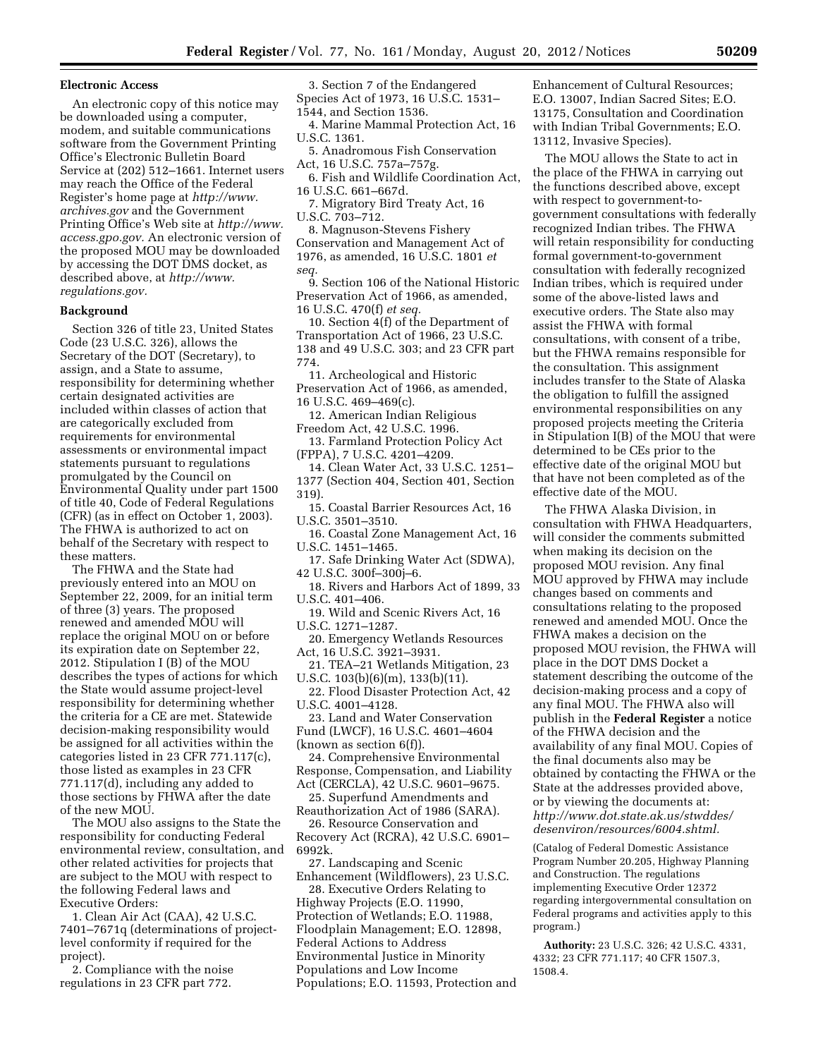#### **Electronic Access**

An electronic copy of this notice may be downloaded using a computer, modem, and suitable communications software from the Government Printing Office's Electronic Bulletin Board Service at (202) 512–1661. Internet users may reach the Office of the Federal Register's home page at *[http://www.](http://www.archives.gov) [archives.gov](http://www.archives.gov)* and the Government Printing Office's Web site at *[http://www.](http://www.access.gpo.gov) [access.gpo.gov.](http://www.access.gpo.gov)* An electronic version of the proposed MOU may be downloaded by accessing the DOT DMS docket, as described above, at *[http://www.](http://www.regulations.gov) [regulations.gov.](http://www.regulations.gov)* 

### **Background**

Section 326 of title 23, United States Code (23 U.S.C. 326), allows the Secretary of the DOT (Secretary), to assign, and a State to assume, responsibility for determining whether certain designated activities are included within classes of action that are categorically excluded from requirements for environmental assessments or environmental impact statements pursuant to regulations promulgated by the Council on Environmental Quality under part 1500 of title 40, Code of Federal Regulations (CFR) (as in effect on October 1, 2003). The FHWA is authorized to act on behalf of the Secretary with respect to these matters.

The FHWA and the State had previously entered into an MOU on September 22, 2009, for an initial term of three (3) years. The proposed renewed and amended MOU will replace the original MOU on or before its expiration date on September 22, 2012. Stipulation I (B) of the MOU describes the types of actions for which the State would assume project-level responsibility for determining whether the criteria for a CE are met. Statewide decision-making responsibility would be assigned for all activities within the categories listed in 23 CFR 771.117(c), those listed as examples in 23 CFR 771.117(d), including any added to those sections by FHWA after the date of the new MOU.

The MOU also assigns to the State the responsibility for conducting Federal environmental review, consultation, and other related activities for projects that are subject to the MOU with respect to the following Federal laws and Executive Orders:

1. Clean Air Act (CAA), 42 U.S.C. 7401–7671q (determinations of projectlevel conformity if required for the project).

2. Compliance with the noise regulations in 23 CFR part 772.

3. Section 7 of the Endangered Species Act of 1973, 16 U.S.C. 1531– 1544, and Section 1536.

4. Marine Mammal Protection Act, 16 U.S.C. 1361.

5. Anadromous Fish Conservation Act, 16 U.S.C. 757a–757g.

6. Fish and Wildlife Coordination Act, 16 U.S.C. 661–667d.

7. Migratory Bird Treaty Act, 16 U.S.C. 703–712.

8. Magnuson-Stevens Fishery Conservation and Management Act of 1976, as amended, 16 U.S.C. 1801 *et seq.* 

9. Section 106 of the National Historic Preservation Act of 1966, as amended, 16 U.S.C. 470(f) *et seq.* 

10. Section 4(f) of the Department of Transportation Act of 1966, 23 U.S.C. 138 and 49 U.S.C. 303; and 23 CFR part 774.

11. Archeological and Historic Preservation Act of 1966, as amended, 16 U.S.C. 469–469(c).

12. American Indian Religious Freedom Act, 42 U.S.C. 1996.

13. Farmland Protection Policy Act (FPPA), 7 U.S.C. 4201–4209.

14. Clean Water Act, 33 U.S.C. 1251– 1377 (Section 404, Section 401, Section 319).

15. Coastal Barrier Resources Act, 16 U.S.C. 3501–3510.

16. Coastal Zone Management Act, 16 U.S.C. 1451–1465.

17. Safe Drinking Water Act (SDWA), 42 U.S.C. 300f–300j–6.

18. Rivers and Harbors Act of 1899, 33 U.S.C. 401–406.

19. Wild and Scenic Rivers Act, 16 U.S.C. 1271–1287.

20. Emergency Wetlands Resources Act, 16 U.S.C. 3921–3931.

21. TEA–21 Wetlands Mitigation, 23 U.S.C. 103(b)(6)(m), 133(b)(11).

22. Flood Disaster Protection Act, 42 U.S.C. 4001–4128.

23. Land and Water Conservation Fund (LWCF), 16 U.S.C. 4601–4604 (known as section 6(f)).

24. Comprehensive Environmental Response, Compensation, and Liability Act (CERCLA), 42 U.S.C. 9601–9675.

25. Superfund Amendments and Reauthorization Act of 1986 (SARA).

26. Resource Conservation and Recovery Act (RCRA), 42 U.S.C. 6901– 6992k.

27. Landscaping and Scenic Enhancement (Wildflowers), 23 U.S.C.

28. Executive Orders Relating to Highway Projects (E.O. 11990, Protection of Wetlands; E.O. 11988, Floodplain Management; E.O. 12898, Federal Actions to Address Environmental Justice in Minority Populations and Low Income Populations; E.O. 11593, Protection and Enhancement of Cultural Resources; E.O. 13007, Indian Sacred Sites; E.O. 13175, Consultation and Coordination with Indian Tribal Governments; E.O. 13112, Invasive Species).

The MOU allows the State to act in the place of the FHWA in carrying out the functions described above, except with respect to government-togovernment consultations with federally recognized Indian tribes. The FHWA will retain responsibility for conducting formal government-to-government consultation with federally recognized Indian tribes, which is required under some of the above-listed laws and executive orders. The State also may assist the FHWA with formal consultations, with consent of a tribe, but the FHWA remains responsible for the consultation. This assignment includes transfer to the State of Alaska the obligation to fulfill the assigned environmental responsibilities on any proposed projects meeting the Criteria in Stipulation I(B) of the MOU that were determined to be CEs prior to the effective date of the original MOU but that have not been completed as of the effective date of the MOU.

The FHWA Alaska Division, in consultation with FHWA Headquarters, will consider the comments submitted when making its decision on the proposed MOU revision. Any final MOU approved by FHWA may include changes based on comments and consultations relating to the proposed renewed and amended MOU. Once the FHWA makes a decision on the proposed MOU revision, the FHWA will place in the DOT DMS Docket a statement describing the outcome of the decision-making process and a copy of any final MOU. The FHWA also will publish in the **Federal Register** a notice of the FHWA decision and the availability of any final MOU. Copies of the final documents also may be obtained by contacting the FHWA or the State at the addresses provided above, or by viewing the documents at: *[http://www.dot.state.ak.us/stwddes/](http://www.dot.state.ak.us/stwddes/desenviron/resources/6004.shtml)  [desenviron/resources/6004.shtml.](http://www.dot.state.ak.us/stwddes/desenviron/resources/6004.shtml)* 

(Catalog of Federal Domestic Assistance Program Number 20.205, Highway Planning and Construction. The regulations implementing Executive Order 12372 regarding intergovernmental consultation on Federal programs and activities apply to this program.)

**Authority:** 23 U.S.C. 326; 42 U.S.C. 4331, 4332; 23 CFR 771.117; 40 CFR 1507.3, 1508.4.